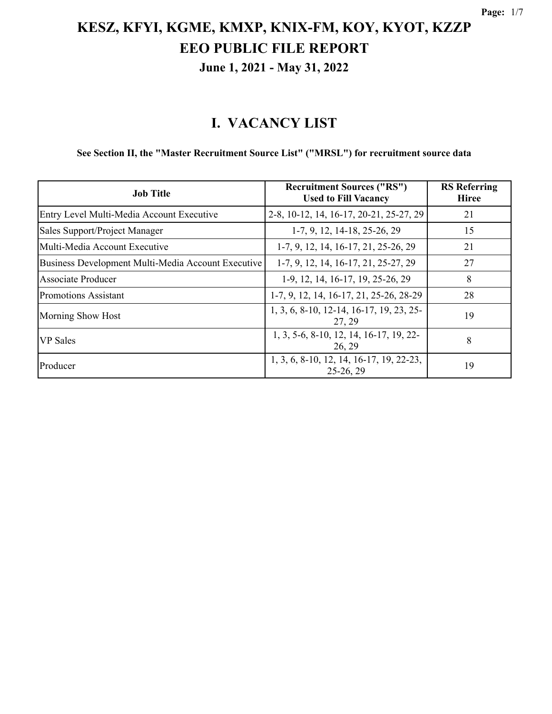### **I. VACANCY LIST**

#### **See Section II, the "Master Recruitment Source List" ("MRSL") for recruitment source data**

| <b>Job Title</b>                                   | <b>Recruitment Sources ("RS")</b><br><b>Used to Fill Vacancy</b> | <b>RS</b> Referring<br><b>Hiree</b> |
|----------------------------------------------------|------------------------------------------------------------------|-------------------------------------|
| Entry Level Multi-Media Account Executive          | 2-8, 10-12, 14, 16-17, 20-21, 25-27, 29                          | 21                                  |
| Sales Support/Project Manager                      | 1-7, 9, 12, 14-18, 25-26, 29                                     | 15                                  |
| Multi-Media Account Executive                      | 1-7, 9, 12, 14, 16-17, 21, 25-26, 29                             | 21                                  |
| Business Development Multi-Media Account Executive | 1-7, 9, 12, 14, 16-17, 21, 25-27, 29                             | 27                                  |
| Associate Producer                                 | 1-9, 12, 14, 16-17, 19, 25-26, 29                                | 8                                   |
| Promotions Assistant                               | 1-7, 9, 12, 14, 16-17, 21, 25-26, 28-29                          | 28                                  |
| Morning Show Host                                  | 1, 3, 6, 8-10, 12-14, 16-17, 19, 23, 25-<br>27, 29               | 19                                  |
| <b>VP</b> Sales                                    | 1, 3, 5-6, 8-10, 12, 14, 16-17, 19, 22-<br>26, 29                | 8                                   |
| Producer                                           | 1, 3, 6, 8-10, 12, 14, 16-17, 19, 22-23,<br>$25-26, 29$          | 19                                  |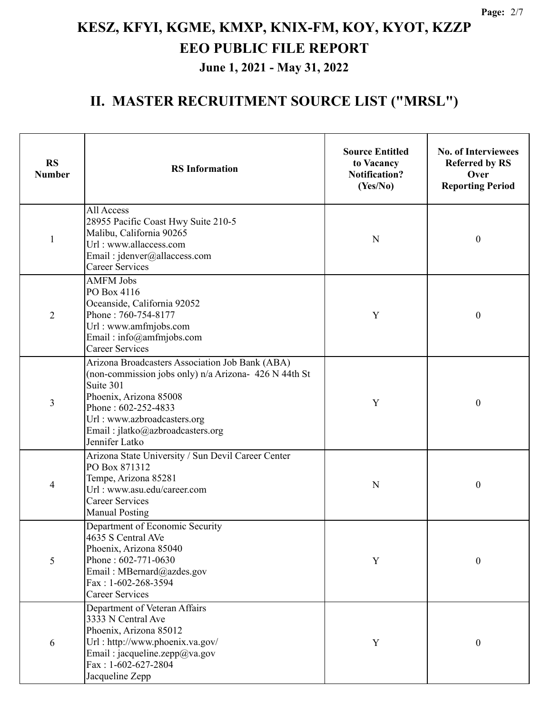| <b>RS</b><br><b>Number</b> | <b>RS</b> Information                                                                                                                                                                                                                                       | <b>Source Entitled</b><br>to Vacancy<br><b>Notification?</b><br>(Yes/No) | <b>No. of Interviewees</b><br><b>Referred by RS</b><br>Over<br><b>Reporting Period</b> |
|----------------------------|-------------------------------------------------------------------------------------------------------------------------------------------------------------------------------------------------------------------------------------------------------------|--------------------------------------------------------------------------|----------------------------------------------------------------------------------------|
| $\mathbf{1}$               | All Access<br>28955 Pacific Coast Hwy Suite 210-5<br>Malibu, California 90265<br>Url: www.allaccess.com<br>Email: jdenver@allaccess.com<br><b>Career Services</b>                                                                                           | N                                                                        | $\boldsymbol{0}$                                                                       |
| $\overline{2}$             | <b>AMFM Jobs</b><br>PO Box 4116<br>Oceanside, California 92052<br>Phone: 760-754-8177<br>Url: www.amfmjobs.com<br>Email: info@amfmjobs.com<br><b>Career Services</b>                                                                                        | Y                                                                        | $\boldsymbol{0}$                                                                       |
| 3                          | Arizona Broadcasters Association Job Bank (ABA)<br>(non-commission jobs only) n/a Arizona- 426 N 44th St<br>Suite 301<br>Phoenix, Arizona 85008<br>Phone: 602-252-4833<br>Url: www.azbroadcasters.org<br>Email: jlatko@azbroadcasters.org<br>Jennifer Latko | Y                                                                        | $\boldsymbol{0}$                                                                       |
| 4                          | Arizona State University / Sun Devil Career Center<br>PO Box 871312<br>Tempe, Arizona 85281<br>Url: www.asu.edu/career.com<br><b>Career Services</b><br><b>Manual Posting</b>                                                                               | N                                                                        | $\boldsymbol{0}$                                                                       |
| 5                          | Department of Economic Security<br>4635 S Central AVe<br>Phoenix, Arizona 85040<br>Phone: 602-771-0630<br>Email: MBernard@azdes.gov<br>Fax: 1-602-268-3594<br><b>Career Services</b>                                                                        | Y                                                                        | $\boldsymbol{0}$                                                                       |
| 6                          | Department of Veteran Affairs<br>3333 N Central Ave<br>Phoenix, Arizona 85012<br>Url: http://www.phoenix.va.gov/<br>Email: jacqueline.zepp@va.gov<br>Fax: $1-602-627-2804$<br>Jacqueline Zepp                                                               | Y                                                                        | $\boldsymbol{0}$                                                                       |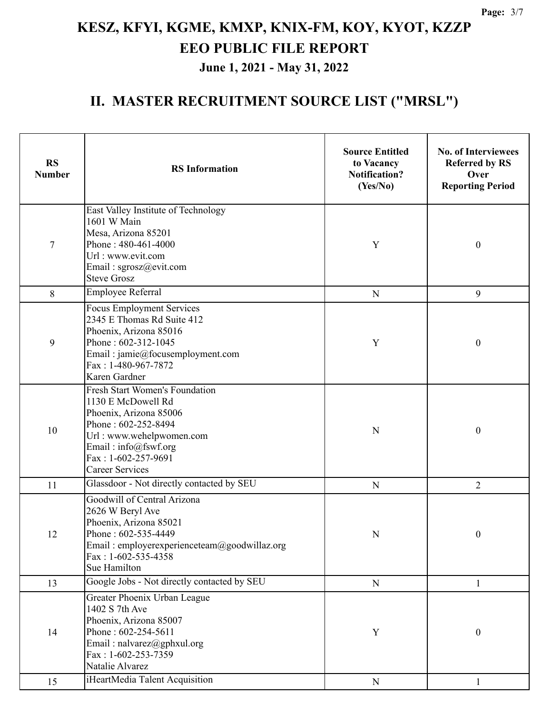| <b>RS</b><br><b>Number</b> | <b>RS</b> Information                                                                                                                                                                                             | <b>Source Entitled</b><br>to Vacancy<br><b>Notification?</b><br>(Yes/No) | <b>No. of Interviewees</b><br><b>Referred by RS</b><br>Over<br><b>Reporting Period</b> |
|----------------------------|-------------------------------------------------------------------------------------------------------------------------------------------------------------------------------------------------------------------|--------------------------------------------------------------------------|----------------------------------------------------------------------------------------|
| 7                          | East Valley Institute of Technology<br>1601 W Main<br>Mesa, Arizona 85201<br>Phone: 480-461-4000<br>Url: www.evit.com<br>Email: sgrosz@evit.com<br><b>Steve Grosz</b>                                             | Y                                                                        | $\boldsymbol{0}$                                                                       |
| 8                          | <b>Employee Referral</b>                                                                                                                                                                                          | ${\bf N}$                                                                | 9                                                                                      |
| 9                          | <b>Focus Employment Services</b><br>2345 E Thomas Rd Suite 412<br>Phoenix, Arizona 85016<br>Phone: 602-312-1045<br>Email: jamie@focusemployment.com<br>Fax: 1-480-967-7872<br>Karen Gardner                       | Y                                                                        | $\boldsymbol{0}$                                                                       |
| 10                         | <b>Fresh Start Women's Foundation</b><br>1130 E McDowell Rd<br>Phoenix, Arizona 85006<br>Phone: 602-252-8494<br>Url: www.wehelpwomen.com<br>Email: info@fswf.org<br>Fax: 1-602-257-9691<br><b>Career Services</b> | ${\bf N}$                                                                | $\boldsymbol{0}$                                                                       |
| 11                         | Glassdoor - Not directly contacted by SEU                                                                                                                                                                         | ${\bf N}$                                                                | $\overline{2}$                                                                         |
| 12                         | Goodwill of Central Arizona<br>2626 W Beryl Ave<br>Phoenix, Arizona 85021<br>Phone: 602-535-4449<br>Email: employerexperienceteam@goodwillaz.org<br>$Fax: 1-602-535-4358$<br>Sue Hamilton                         | N                                                                        | $\boldsymbol{0}$                                                                       |
| 13                         | Google Jobs - Not directly contacted by SEU                                                                                                                                                                       | ${\bf N}$                                                                | $\mathbf{1}$                                                                           |
| 14                         | Greater Phoenix Urban League<br>1402 S 7th Ave<br>Phoenix, Arizona 85007<br>Phone: 602-254-5611<br>Email: nalvarez@gphxul.org<br>Fax: 1-602-253-7359<br>Natalie Alvarez                                           | Y                                                                        | $\boldsymbol{0}$                                                                       |
| 15                         | iHeartMedia Talent Acquisition                                                                                                                                                                                    | ${\bf N}$                                                                | 1                                                                                      |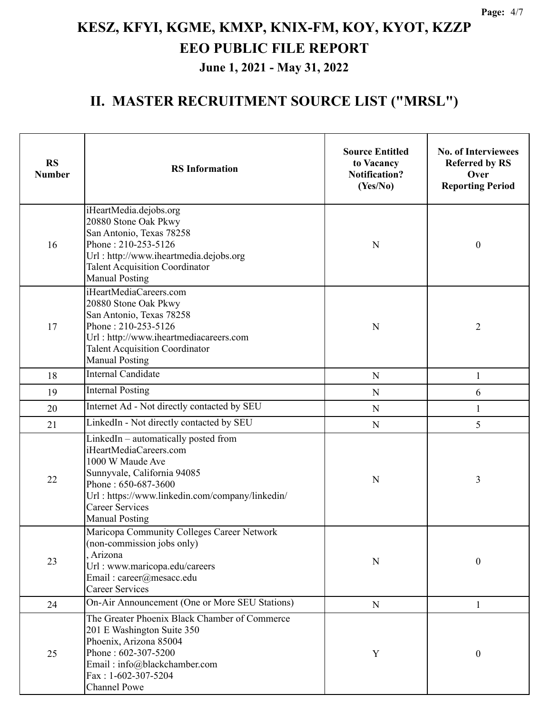| <b>RS</b><br><b>Number</b> | <b>RS</b> Information                                                                                                                                                                                                                          | <b>Source Entitled</b><br>to Vacancy<br><b>Notification?</b><br>(Yes/No) | <b>No. of Interviewees</b><br><b>Referred by RS</b><br>Over<br><b>Reporting Period</b> |
|----------------------------|------------------------------------------------------------------------------------------------------------------------------------------------------------------------------------------------------------------------------------------------|--------------------------------------------------------------------------|----------------------------------------------------------------------------------------|
| 16                         | iHeartMedia.dejobs.org<br>20880 Stone Oak Pkwy<br>San Antonio, Texas 78258<br>Phone: 210-253-5126<br>Url: http://www.iheartmedia.dejobs.org<br><b>Talent Acquisition Coordinator</b><br><b>Manual Posting</b>                                  | N                                                                        | $\mathbf{0}$                                                                           |
| 17                         | iHeartMediaCareers.com<br>20880 Stone Oak Pkwy<br>San Antonio, Texas 78258<br>Phone: 210-253-5126<br>$\mathbf N$<br>Url: http://www.iheartmediacareers.com<br><b>Talent Acquisition Coordinator</b><br><b>Manual Posting</b>                   |                                                                          | $\overline{2}$                                                                         |
| 18                         | <b>Internal Candidate</b><br>N                                                                                                                                                                                                                 |                                                                          | $\mathbf{1}$                                                                           |
| 19                         | <b>Internal Posting</b>                                                                                                                                                                                                                        | N                                                                        | 6                                                                                      |
| 20                         | Internet Ad - Not directly contacted by SEU                                                                                                                                                                                                    | N                                                                        | $\mathbf{1}$                                                                           |
| 21                         | LinkedIn - Not directly contacted by SEU                                                                                                                                                                                                       | $\mathbf N$                                                              | 5                                                                                      |
| 22                         | LinkedIn - automatically posted from<br>iHeartMediaCareers.com<br>1000 W Maude Ave<br>Sunnyvale, California 94085<br>Phone: 650-687-3600<br>Url: https://www.linkedin.com/company/linkedin/<br><b>Career Services</b><br><b>Manual Posting</b> | N                                                                        | 3                                                                                      |
| 23                         | Maricopa Community Colleges Career Network<br>(non-commission jobs only)<br>, Arizona<br>Url: www.maricopa.edu/careers<br>Email: career@mesacc.edu<br><b>Career Services</b>                                                                   | N                                                                        | $\mathbf{0}$                                                                           |
| 24                         | On-Air Announcement (One or More SEU Stations)                                                                                                                                                                                                 | N                                                                        | 1                                                                                      |
| 25                         | The Greater Phoenix Black Chamber of Commerce<br>201 E Washington Suite 350<br>Phoenix, Arizona 85004<br>Phone: 602-307-5200<br>Email: info@blackchamber.com<br>$Fax: 1-602-307-5204$<br><b>Channel Powe</b>                                   | Y                                                                        | $\mathbf{0}$                                                                           |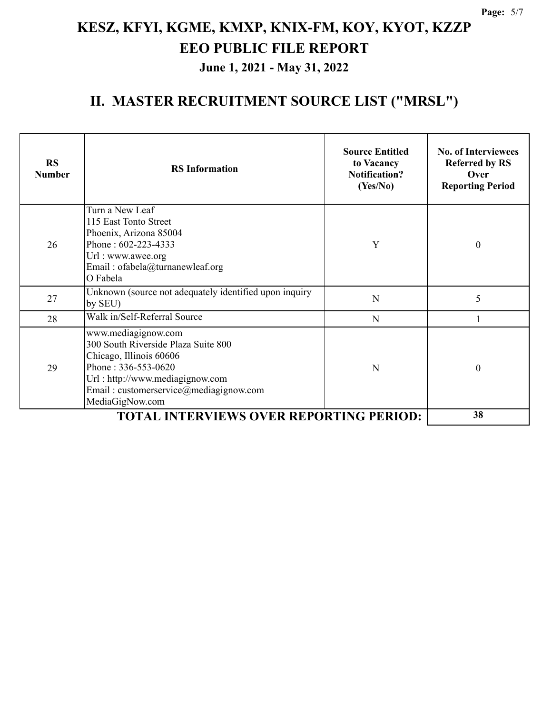| <b>RS</b><br><b>Number</b> | <b>RS</b> Information                                                                                                                                                                                        | <b>Source Entitled</b><br>to Vacancy<br><b>Notification?</b><br>(Yes/No) | <b>No. of Interviewees</b><br><b>Referred by RS</b><br>Over<br><b>Reporting Period</b> |
|----------------------------|--------------------------------------------------------------------------------------------------------------------------------------------------------------------------------------------------------------|--------------------------------------------------------------------------|----------------------------------------------------------------------------------------|
| 26                         | Turn a New Leaf<br>115 East Tonto Street<br>Phoenix, Arizona 85004<br>Phone: 602-223-4333<br>Url: www.awee.org<br>Email: ofabela@turnanewleaf.org<br>O Fabela                                                | Y                                                                        | $\theta$                                                                               |
| 27                         | Unknown (source not adequately identified upon inquiry<br>by SEU)                                                                                                                                            | N                                                                        | 5                                                                                      |
| 28                         | Walk in/Self-Referral Source                                                                                                                                                                                 | N                                                                        |                                                                                        |
| 29                         | www.mediagignow.com<br>300 South Riverside Plaza Suite 800<br>Chicago, Illinois 60606<br>Phone: 336-553-0620<br>Url: http://www.mediagignow.com<br>Email: customerservice@mediagignow.com<br>MediaGigNow.com | N                                                                        | $\boldsymbol{0}$                                                                       |
|                            | 38                                                                                                                                                                                                           |                                                                          |                                                                                        |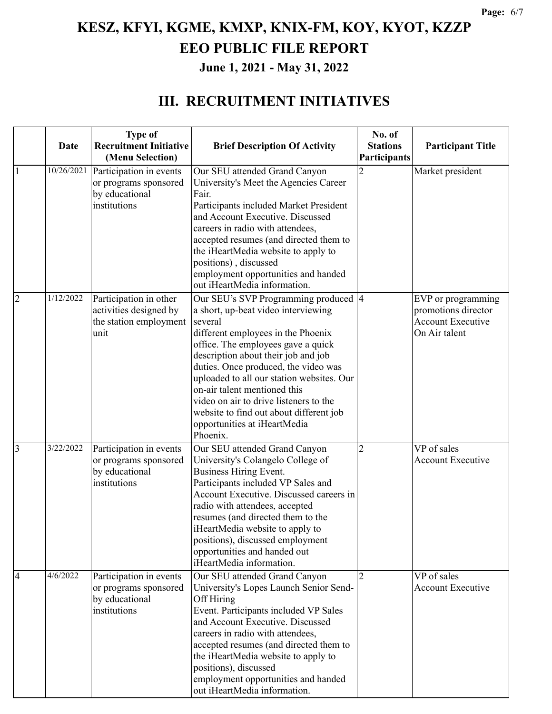#### **III. RECRUITMENT INITIATIVES**

|                | Date       | <b>Type of</b><br><b>Recruitment Initiative</b>                                    | <b>Brief Description Of Activity</b>                                                                                                                                                                                                                                                                                                                                                                                                                             | No. of<br><b>Stations</b> | <b>Participant Title</b>                                                               |
|----------------|------------|------------------------------------------------------------------------------------|------------------------------------------------------------------------------------------------------------------------------------------------------------------------------------------------------------------------------------------------------------------------------------------------------------------------------------------------------------------------------------------------------------------------------------------------------------------|---------------------------|----------------------------------------------------------------------------------------|
|                |            | (Menu Selection)                                                                   |                                                                                                                                                                                                                                                                                                                                                                                                                                                                  | Participants              |                                                                                        |
| 1              | 10/26/2021 | Participation in events<br>or programs sponsored<br>by educational<br>institutions | Our SEU attended Grand Canyon<br>University's Meet the Agencies Career<br>Fair.<br>Participants included Market President<br>and Account Executive. Discussed<br>careers in radio with attendees,<br>accepted resumes (and directed them to<br>the iHeartMedia website to apply to<br>positions), discussed<br>employment opportunities and handed<br>out iHeartMedia information.                                                                               | 2                         | Market president                                                                       |
| $\overline{2}$ | 1/12/2022  | Participation in other<br>activities designed by<br>the station employment<br>unit | Our SEU's SVP Programming produced  4<br>a short, up-beat video interviewing<br>several<br>different employees in the Phoenix<br>office. The employees gave a quick<br>description about their job and job<br>duties. Once produced, the video was<br>uploaded to all our station websites. Our<br>on-air talent mentioned this<br>video on air to drive listeners to the<br>website to find out about different job<br>opportunities at iHeartMedia<br>Phoenix. |                           | EVP or programming<br>promotions director<br><b>Account Executive</b><br>On Air talent |
| 3              | 3/22/2022  | Participation in events<br>or programs sponsored<br>by educational<br>institutions | Our SEU attended Grand Canyon<br>University's Colangelo College of<br><b>Business Hiring Event.</b><br>Participants included VP Sales and<br>Account Executive. Discussed careers in<br>radio with attendees, accepted<br>resumes (and directed them to the<br>iHeartMedia website to apply to<br>positions), discussed employment<br>opportunities and handed out<br>iHeartMedia information.                                                                   | $\overline{2}$            | VP of sales<br><b>Account Executive</b>                                                |
| $\overline{4}$ | 4/6/2022   | Participation in events<br>or programs sponsored<br>by educational<br>institutions | Our SEU attended Grand Canyon<br>University's Lopes Launch Senior Send-<br>Off Hiring<br>Event. Participants included VP Sales<br>and Account Executive. Discussed<br>careers in radio with attendees,<br>accepted resumes (and directed them to<br>the iHeartMedia website to apply to<br>positions), discussed<br>employment opportunities and handed<br>out iHeartMedia information.                                                                          | $\overline{2}$            | VP of sales<br><b>Account Executive</b>                                                |